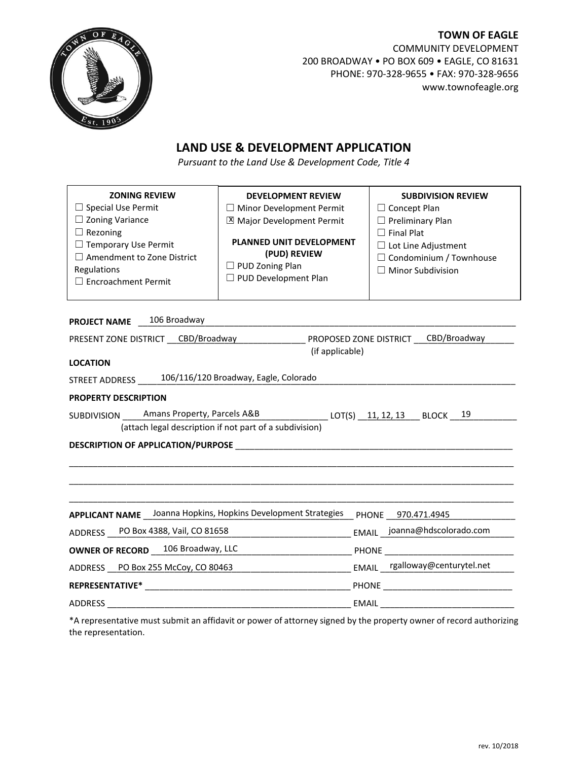

**TOWN OF EAGLE** COMMUNITY DEVELOPMENT 200 BROADWAY • PO BOX 609 • EAGLE, CO 81631 PHONE: 970-328-9655 • FAX: 970-328-9656 www.townofeagle.org

# **LAND USE & DEVELOPMENT APPLICATION**

*Pursuant to the Land Use & Development Code, Title 4*

| <b>ZONING REVIEW</b><br>$\Box$ Special Use Permit<br>$\Box$ Zoning Variance<br>$\Box$ Rezoning<br>$\Box$ Temporary Use Permit<br>$\Box$ Amendment to Zone District<br>Regulations<br>□ Encroachment Permit | <b>DEVELOPMENT REVIEW</b><br>$\Box$ Minor Development Permit<br>X Major Development Permit<br>PLANNED UNIT DEVELOPMENT<br>(PUD) REVIEW<br>$\Box$ PUD Zoning Plan<br>□ PUD Development Plan | <b>SUBDIVISION REVIEW</b><br>$\Box$ Concept Plan<br>$\Box$ Preliminary Plan<br>$\Box$ Final Plat<br>$\Box$ Lot Line Adjustment<br>$\Box$ Condominium / Townhouse<br>$\Box$ Minor Subdivision |  |  |  |  |  |
|------------------------------------------------------------------------------------------------------------------------------------------------------------------------------------------------------------|--------------------------------------------------------------------------------------------------------------------------------------------------------------------------------------------|----------------------------------------------------------------------------------------------------------------------------------------------------------------------------------------------|--|--|--|--|--|
| 106 Broadway<br><b>PROJECT NAME</b>                                                                                                                                                                        |                                                                                                                                                                                            |                                                                                                                                                                                              |  |  |  |  |  |
| CBD/Broadway<br>PRESENT ZONE DISTRICT CBD/Broadway<br>PROPOSED ZONE DISTRICT                                                                                                                               |                                                                                                                                                                                            |                                                                                                                                                                                              |  |  |  |  |  |
| (if applicable)<br><b>LOCATION</b>                                                                                                                                                                         |                                                                                                                                                                                            |                                                                                                                                                                                              |  |  |  |  |  |
| STREET ADDRESS _____ 106/116/120 Broadway, Eagle, Colorado                                                                                                                                                 |                                                                                                                                                                                            |                                                                                                                                                                                              |  |  |  |  |  |
| <b>PROPERTY DESCRIPTION</b>                                                                                                                                                                                |                                                                                                                                                                                            |                                                                                                                                                                                              |  |  |  |  |  |
| SUBDIVISION Amans Property, Parcels A&B<br>LOT(S) 11, 12, 13 BLOCK 19                                                                                                                                      |                                                                                                                                                                                            |                                                                                                                                                                                              |  |  |  |  |  |
| (attach legal description if not part of a subdivision)                                                                                                                                                    |                                                                                                                                                                                            |                                                                                                                                                                                              |  |  |  |  |  |
|                                                                                                                                                                                                            |                                                                                                                                                                                            |                                                                                                                                                                                              |  |  |  |  |  |
|                                                                                                                                                                                                            |                                                                                                                                                                                            |                                                                                                                                                                                              |  |  |  |  |  |
|                                                                                                                                                                                                            |                                                                                                                                                                                            |                                                                                                                                                                                              |  |  |  |  |  |
|                                                                                                                                                                                                            |                                                                                                                                                                                            |                                                                                                                                                                                              |  |  |  |  |  |
|                                                                                                                                                                                                            |                                                                                                                                                                                            |                                                                                                                                                                                              |  |  |  |  |  |
| APPLICANT NAME Joanna Hopkins, Hopkins Development Strategies                                                                                                                                              |                                                                                                                                                                                            | PHONE 970.471.4945                                                                                                                                                                           |  |  |  |  |  |
| ADDRESS PO Box 4388, Vail, CO 81658                                                                                                                                                                        |                                                                                                                                                                                            | EMAIL joanna@hdscolorado.com                                                                                                                                                                 |  |  |  |  |  |
| <b>OWNER OF RECORD</b> _ 106 Broadway, LLC                                                                                                                                                                 |                                                                                                                                                                                            |                                                                                                                                                                                              |  |  |  |  |  |
| ADDRESS PO Box 255 McCoy, CO 80463                                                                                                                                                                         |                                                                                                                                                                                            | EMAIL rgalloway@centurytel.net                                                                                                                                                               |  |  |  |  |  |
| <b>REPRESENTATIVE*</b>                                                                                                                                                                                     |                                                                                                                                                                                            | <b>PHONE</b> PHONE                                                                                                                                                                           |  |  |  |  |  |
| <b>ADDRESS</b>                                                                                                                                                                                             |                                                                                                                                                                                            | <b>EMAIL</b>                                                                                                                                                                                 |  |  |  |  |  |

\*A representative must submit an affidavit or power of attorney signed by the property owner of record authorizing the representation.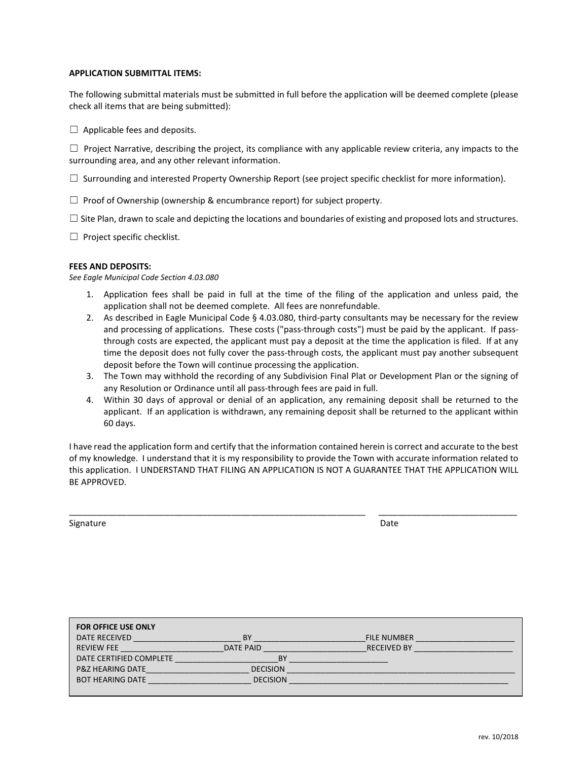#### **APPLICATION SUBMITTAL ITEMS:**

The following submittal materials must be submitted in full before the application will be deemed complete (please check all items that are being submitted):

 $\Box$  Applicable fees and deposits.

 $\Box$  Project Narrative, describing the project, its compliance with any applicable review criteria, any impacts to the surrounding area, and any other relevant information.

 $\Box$  Surrounding and interested Property Ownership Report (see project specific checklist for more information).

 $\Box$  Proof of Ownership (ownership & encumbrance report) for subject property.

 $\Box$  Site Plan, drawn to scale and depicting the locations and boundaries of existing and proposed lots and structures.

 $\Box$  Project specific checklist.

#### **FEES AND DEPOSITS:**

*See Eagle Municipal Code Section 4.03.080*

- 1. Application fees shall be paid in full at the time of the filing of the application and unless paid, the application shall not be deemed complete. All fees are nonrefundable.
- 2. As described in Eagle Municipal Code § 4.03.080, third-party consultants may be necessary for the review and processing of applications. These costs ("pass-through costs") must be paid by the applicant. If passthrough costs are expected, the applicant must pay a deposit at the time the application is filed. If at any time the deposit does not fully cover the pass-through costs, the applicant must pay another subsequent deposit before the Town will continue processing the application.
- 3. The Town may withhold the recording of any Subdivision Final Plat or Development Plan or the signing of any Resolution or Ordinance until all pass-through fees are paid in full.
- 4. Within 30 days of approval or denial of an application, any remaining deposit shall be returned to the applicant. If an application is withdrawn, any remaining deposit shall be returned to the applicant within 60 days.

I have read the application form and certify that the information contained herein is correct and accurate to the best of my knowledge. I understand that it is my responsibility to provide the Town with accurate information related to this application. I UNDERSTAND THAT FILING AN APPLICATION IS NOT A GUARANTEE THAT THE APPLICATION WILL BE APPROVED.

\_\_\_\_\_\_\_\_\_\_\_\_\_\_\_\_\_\_\_\_\_\_\_\_\_\_\_\_\_\_\_\_\_\_\_\_\_\_\_\_\_\_\_\_\_\_\_\_\_\_\_\_\_\_\_\_\_\_\_\_\_\_ \_\_\_\_\_\_\_\_\_\_\_\_\_\_\_\_\_\_\_\_\_\_\_\_\_\_\_\_\_

Signature Date

| <b>FOR OFFICE USE ONLY</b>  |                 |                    |
|-----------------------------|-----------------|--------------------|
| DATE RECEIVED               | ΒY              | <b>FILE NUMBER</b> |
| <b>REVIEW FEE</b>           | DATE PAID       | <b>RECEIVED BY</b> |
| DATE CERTIFIED COMPLETE     | BY              |                    |
| <b>P&amp;Z HEARING DATE</b> | <b>DECISION</b> |                    |
| <b>BOT HEARING DATE</b>     | <b>DECISION</b> |                    |
|                             |                 |                    |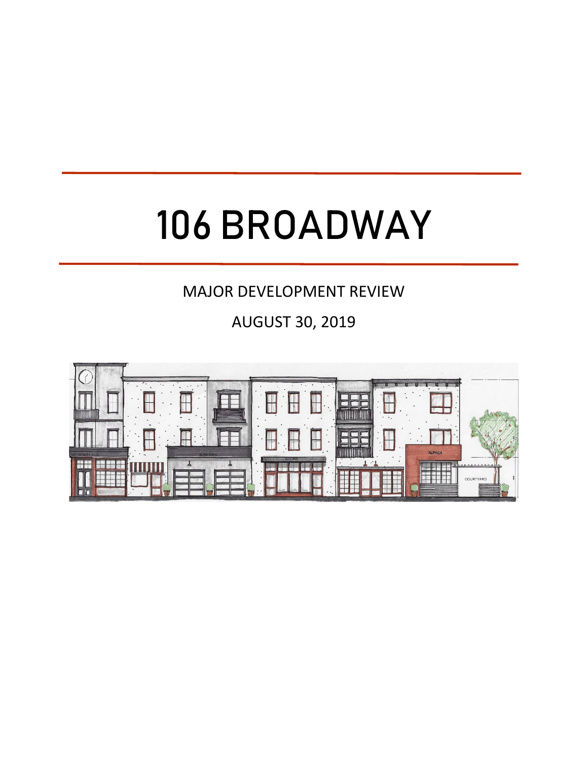# 106 BROADWAY

# MAJOR DEVELOPMENT REVIEW

AUGUST 30, 2019

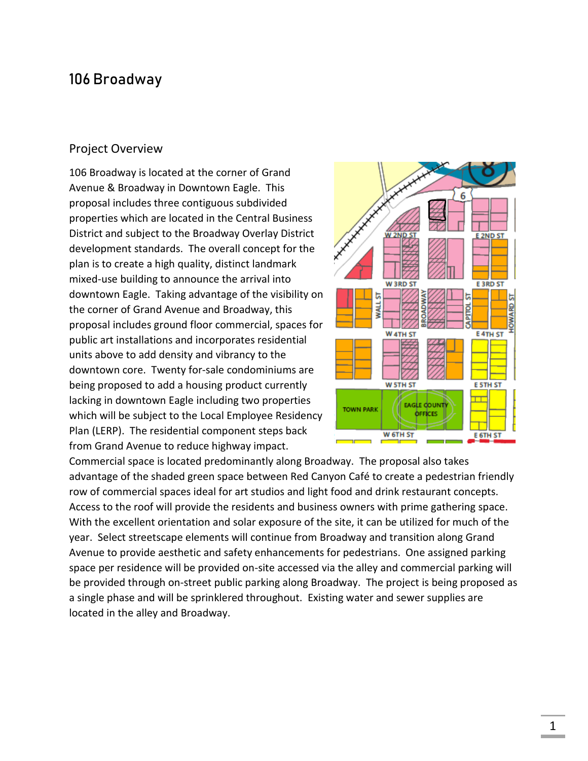# 106 Broadway

# Project Overview

106 Broadway is located at the corner of Grand Avenue & Broadway in Downtown Eagle. This proposal includes three contiguous subdivided properties which are located in the Central Business District and subject to the Broadway Overlay District development standards. The overall concept for the plan is to create a high quality, distinct landmark mixed-use building to announce the arrival into downtown Eagle. Taking advantage of the visibility on the corner of Grand Avenue and Broadway, this proposal includes ground floor commercial, spaces for public art installations and incorporates residential units above to add density and vibrancy to the downtown core. Twenty for-sale condominiums are being proposed to add a housing product currently lacking in downtown Eagle including two properties which will be subject to the Local Employee Residency Plan (LERP). The residential component steps back from Grand Avenue to reduce highway impact.



Commercial space is located predominantly along Broadway. The proposal also takes advantage of the shaded green space between Red Canyon Café to create a pedestrian friendly row of commercial spaces ideal for art studios and light food and drink restaurant concepts. Access to the roof will provide the residents and business owners with prime gathering space. With the excellent orientation and solar exposure of the site, it can be utilized for much of the year. Select streetscape elements will continue from Broadway and transition along Grand Avenue to provide aesthetic and safety enhancements for pedestrians. One assigned parking space per residence will be provided on-site accessed via the alley and commercial parking will be provided through on-street public parking along Broadway. The project is being proposed as a single phase and will be sprinklered throughout. Existing water and sewer supplies are located in the alley and Broadway.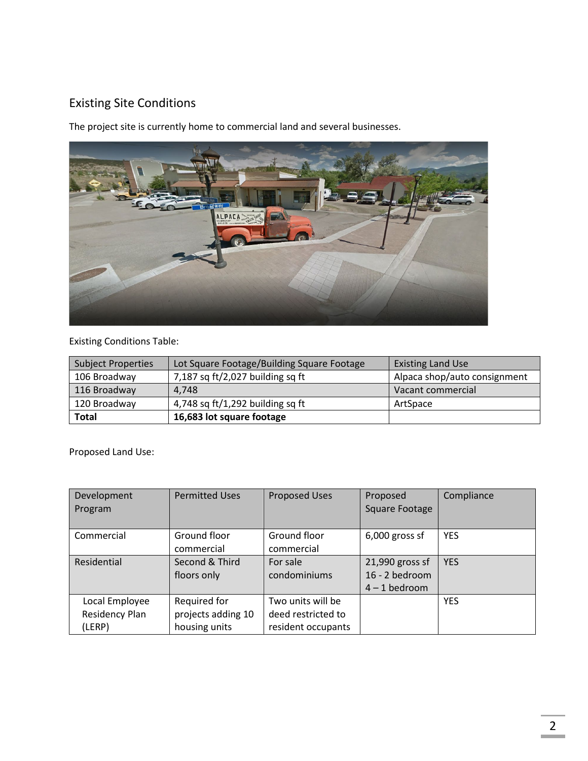# Existing Site Conditions

The project site is currently home to commercial land and several businesses.



# Existing Conditions Table:

| <b>Subject Properties</b> | Lot Square Footage/Building Square Footage | <b>Existing Land Use</b>     |  |
|---------------------------|--------------------------------------------|------------------------------|--|
| 106 Broadway              | 7,187 sq $ft/2,027$ building sq ft         | Alpaca shop/auto consignment |  |
| 116 Broadway              | 4.748                                      | Vacant commercial            |  |
| 120 Broadway              | 4,748 sq $ft/1,292$ building sq ft         | ArtSpace                     |  |
| <b>Total</b>              | 16,683 lot square footage                  |                              |  |

Proposed Land Use:

| Development<br>Program                     | <b>Permitted Uses</b>                               | <b>Proposed Uses</b>                                          | Proposed<br>Square Footage                           | Compliance |
|--------------------------------------------|-----------------------------------------------------|---------------------------------------------------------------|------------------------------------------------------|------------|
| Commercial                                 | Ground floor<br>commercial                          | Ground floor<br>commercial                                    | $6,000$ gross sf                                     | <b>YES</b> |
| Residential                                | Second & Third<br>floors only                       | For sale<br>condominiums                                      | 21,990 gross sf<br>16 - 2 bedroom<br>$4 - 1$ bedroom | <b>YES</b> |
| Local Employee<br>Residency Plan<br>(LERP) | Required for<br>projects adding 10<br>housing units | Two units will be<br>deed restricted to<br>resident occupants |                                                      | <b>YES</b> |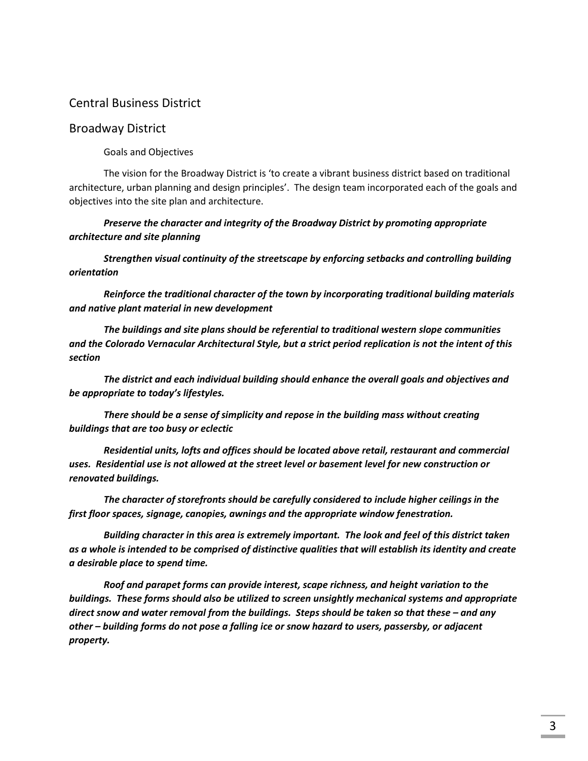# Central Business District

## Broadway District

Goals and Objectives

The vision for the Broadway District is 'to create a vibrant business district based on traditional architecture, urban planning and design principles'. The design team incorporated each of the goals and objectives into the site plan and architecture.

*Preserve the character and integrity of the Broadway District by promoting appropriate architecture and site planning*

*Strengthen visual continuity of the streetscape by enforcing setbacks and controlling building orientation*

*Reinforce the traditional character of the town by incorporating traditional building materials and native plant material in new development*

*The buildings and site plans should be referential to traditional western slope communities and the Colorado Vernacular Architectural Style, but a strict period replication is not the intent of this section*

*The district and each individual building should enhance the overall goals and objectives and be appropriate to today's lifestyles.*

*There should be a sense of simplicity and repose in the building mass without creating buildings that are too busy or eclectic*

*Residential units, lofts and offices should be located above retail, restaurant and commercial uses. Residential use is not allowed at the street level or basement level for new construction or renovated buildings.*

*The character of storefronts should be carefully considered to include higher ceilings in the first floor spaces, signage, canopies, awnings and the appropriate window fenestration.*

*Building character in this area is extremely important. The look and feel of this district taken as a whole is intended to be comprised of distinctive qualities that will establish its identity and create a desirable place to spend time.*

*Roof and parapet forms can provide interest, scape richness, and height variation to the buildings. These forms should also be utilized to screen unsightly mechanical systems and appropriate direct snow and water removal from the buildings. Steps should be taken so that these – and any other – building forms do not pose a falling ice or snow hazard to users, passersby, or adjacent property.*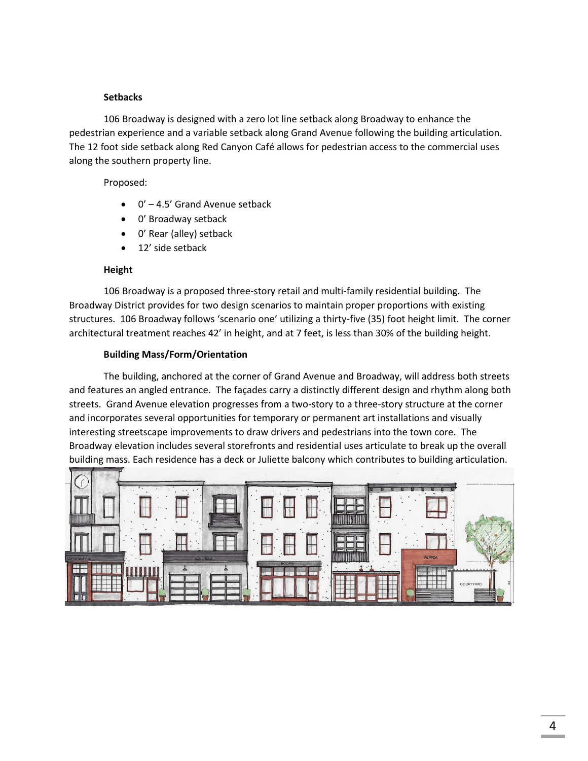## **Setbacks**

106 Broadway is designed with a zero lot line setback along Broadway to enhance the pedestrian experience and a variable setback along Grand Avenue following the building articulation. The 12 foot side setback along Red Canyon Café allows for pedestrian access to the commercial uses along the southern property line.

Proposed:

- 0' 4.5' Grand Avenue setback
- 0' Broadway setback
- 0' Rear (alley) setback
- 12' side setback

## **Height**

106 Broadway is a proposed three-story retail and multi-family residential building. The Broadway District provides for two design scenarios to maintain proper proportions with existing structures. 106 Broadway follows 'scenario one' utilizing a thirty-five (35) foot height limit. The corner architectural treatment reaches 42' in height, and at 7 feet, is less than 30% of the building height.

## **Building Mass/Form/Orientation**

The building, anchored at the corner of Grand Avenue and Broadway, will address both streets and features an angled entrance. The façades carry a distinctly different design and rhythm along both streets. Grand Avenue elevation progresses from a two-story to a three-story structure at the corner and incorporates several opportunities for temporary or permanent art installations and visually interesting streetscape improvements to draw drivers and pedestrians into the town core. The Broadway elevation includes several storefronts and residential uses articulate to break up the overall building mass. Each residence has a deck or Juliette balcony which contributes to building articulation.

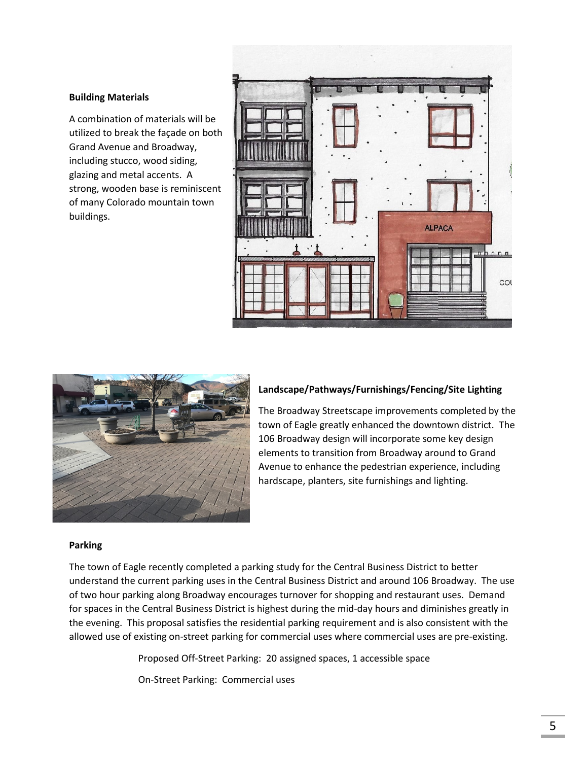#### **Building Materials**

A combination of materials will be utilized to break the façade on both Grand Avenue and Broadway, including stucco, wood siding, glazing and metal accents. A strong, wooden base is reminiscent of many Colorado mountain town buildings.





## **Landscape/Pathways/Furnishings/Fencing/Site Lighting**

The Broadway Streetscape improvements completed by the town of Eagle greatly enhanced the downtown district. The 106 Broadway design will incorporate some key design elements to transition from Broadway around to Grand Avenue to enhance the pedestrian experience, including hardscape, planters, site furnishings and lighting.

#### **Parking**

The town of Eagle recently completed a parking study for the Central Business District to better understand the current parking uses in the Central Business District and around 106 Broadway. The use of two hour parking along Broadway encourages turnover for shopping and restaurant uses. Demand for spaces in the Central Business District is highest during the mid-day hours and diminishes greatly in the evening. This proposal satisfies the residential parking requirement and is also consistent with the allowed use of existing on-street parking for commercial uses where commercial uses are pre-existing.

Proposed Off-Street Parking: 20 assigned spaces, 1 accessible space

On-Street Parking: Commercial uses